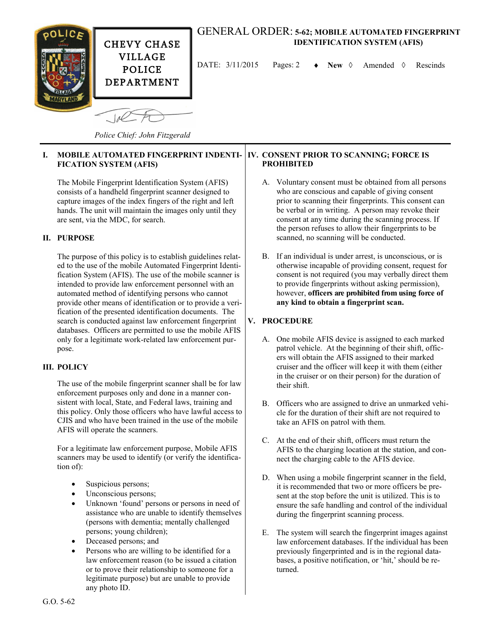

### GENERAL ORDER: **5-62; MOBILE AUTOMATED FINGERPRINT IDENTIFICATION SYSTEM (AFIS)**

DATE:  $3/11/2015$  Pages: 2  $\rightarrow$  New  $\Diamond$  Amended  $\Diamond$  Rescinds

*Police Chief: John Fitzgerald*

#### **I. MOBILE AUTOMATED FINGERPRINT INDENTI-FICATION SYSTEM (AFIS) PROHIBITED**

The Mobile Fingerprint Identification System (AFIS) consists of a handheld fingerprint scanner designed to capture images of the index fingers of the right and left hands. The unit will maintain the images only until they are sent, via the MDC, for search.

# **II. PURPOSE**

The purpose of this policy is to establish guidelines related to the use of the mobile Automated Fingerprint Identification System (AFIS). The use of the mobile scanner is intended to provide law enforcement personnel with an automated method of identifying persons who cannot provide other means of identification or to provide a verification of the presented identification documents. The search is conducted against law enforcement fingerprint databases. Officers are permitted to use the mobile AFIS only for a legitimate work-related law enforcement purpose.

## **III. POLICY**

The use of the mobile fingerprint scanner shall be for law enforcement purposes only and done in a manner consistent with local, State, and Federal laws, training and this policy. Only those officers who have lawful access to CJIS and who have been trained in the use of the mobile AFIS will operate the scanners.

For a legitimate law enforcement purpose, Mobile AFIS scanners may be used to identify (or verify the identification of):

- Suspicious persons;
- Unconscious persons;
- Unknown 'found' persons or persons in need of assistance who are unable to identify themselves (persons with dementia; mentally challenged persons; young children);
- Deceased persons; and
- Persons who are willing to be identified for a law enforcement reason (to be issued a citation or to prove their relationship to someone for a legitimate purpose) but are unable to provide any photo ID.

# **IV. CONSENT PRIOR TO SCANNING; FORCE IS**

- A. Voluntary consent must be obtained from all persons who are conscious and capable of giving consent prior to scanning their fingerprints. This consent can be verbal or in writing. A person may revoke their consent at any time during the scanning process. If the person refuses to allow their fingerprints to be scanned, no scanning will be conducted.
- B. If an individual is under arrest, is unconscious, or is otherwise incapable of providing consent, request for consent is not required (you may verbally direct them to provide fingerprints without asking permission), however, **officers are prohibited from using force of any kind to obtain a fingerprint scan.**

### **V. PROCEDURE**

- A. One mobile AFIS device is assigned to each marked patrol vehicle. At the beginning of their shift, officers will obtain the AFIS assigned to their marked cruiser and the officer will keep it with them (either in the cruiser or on their person) for the duration of their shift.
- B. Officers who are assigned to drive an unmarked vehicle for the duration of their shift are not required to take an AFIS on patrol with them.
- C. At the end of their shift, officers must return the AFIS to the charging location at the station, and connect the charging cable to the AFIS device.
- D. When using a mobile fingerprint scanner in the field, it is recommended that two or more officers be present at the stop before the unit is utilized. This is to ensure the safe handling and control of the individual during the fingerprint scanning process.
- E. The system will search the fingerprint images against law enforcement databases. If the individual has been previously fingerprinted and is in the regional databases, a positive notification, or 'hit,' should be returned.